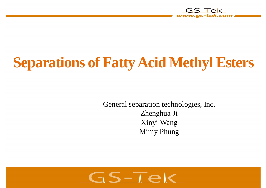

# **Separations of Fatty Acid Methyl Esters**

General separation technologies, Inc. Zhenghua Ji Xinyi Wang Mimy Phung

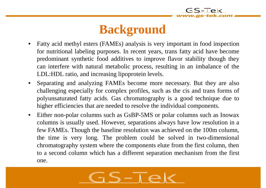### **Background**

- Fatty acid methyl esters (FAMEs) analysis is very important in food inspection for nutritional labeling purposes. In recent years, trans fatty acid have become predominant synthetic food additives to improve flavor stability though they can interfere with natural metabolic process, resulting in an imbalance of the LDL:HDL ratio, and increasing lipoprotein levels.
- Separating and analyzing FAMEs become more necessary. But they are also challenging especially for complex profiles, such as the cis and trans forms of polyunsaturated fatty acids. Gas chromatography is a good technique due to higher efficiencies that are needed to resolve the individual components.
- Either non-polar columns such as GsBP-5MS or polar columns such as Inowax columns is usually used. However, separations always have low resolution in a few FAMEs. Though the baseline resolution was achieved on the 100m column, the time is very long. The problem could be solved in two-dimensional chromatography system where the components elute from the first column, then to a second column which has a different separation mechanism from the first one.

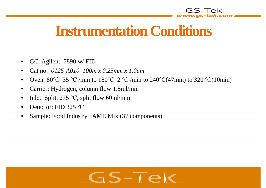

### **Instrumentation Conditions**

- GC: Agilent 7890 w/ FID
- Cat no: *0125-A010 100m x 0.25mm x 1.0um*
- Oven:  $80^{\circ}$ C 35 °C /min to  $180^{\circ}$ C 2 °C /min to  $240^{\circ}$ C(47min) to 320 °C(10min)
- Carrier: Hydrogen, column flow 1.5ml/min
- Inlet: Split,  $275 \text{ °C}$ , split flow 60ml/min
- Detector: FID 325 °C
- Sample: Food Industry FAME Mix (37 components)

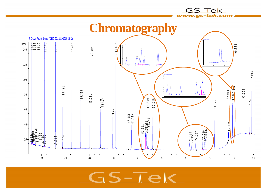

GS-Tek

 $S-T$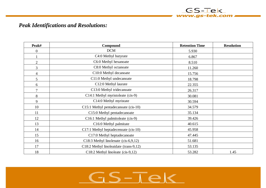#### *Peak Identifications and Resolutions:*

| Peak#            | Compound                               | <b>Retention Time</b> | <b>Resolution</b> |
|------------------|----------------------------------------|-----------------------|-------------------|
| $\boldsymbol{0}$ | <b>DCM</b>                             | 5.930                 |                   |
|                  | C4:0 Methyl butyrate                   | 6.867                 |                   |
| $\overline{2}$   | C6:0 Methyl hexanoate                  | 8.510                 |                   |
| $\overline{3}$   | C8:0 Methyl octanoate                  | 11.260                |                   |
| $\overline{4}$   | C10:0 Methyl decanoate                 | 15.756                |                   |
| 5                | C11:0 Methyl undecanoate               | 18.798                |                   |
| 6                | C12:0 Methyl laurate                   | 22.355                |                   |
| $\overline{7}$   | C13:0 Methyl tridecanoate              | 26.317                |                   |
| $8\,$            | C14:1 Methyl myristoleate (cis-9)      | 30.081                |                   |
| 9                | C14:0 Methyl myristate                 | 30.594                |                   |
| 10               | C15:1 Methyl pentadecanoate (cis-10)   | 34.579                |                   |
| 11               | C15:0 Methyl pentadecanoate            | 35.134                |                   |
| 12               | C16:1 Methyl palmitoleate (cis-9)      | 39.426                |                   |
| 13               | C16:0 Methyl palmitate                 | 40.615                |                   |
| 14               | C17:1 Methyl heptadecenoate (cis-10)   | 45.958                |                   |
| 15               | C17:0 Methyl heptadecanoate            | 47.445                |                   |
| 16               | C18:3 Methyl linolenate (cis-6,9,12)   | 51.681                |                   |
| 17               | C18:2 Methyl linoleaidate (trans-9,12) | 53.135                |                   |
| 18               | C18:2 Methyl linoleate (cis-9,12)      | 53.282                | 1.45              |

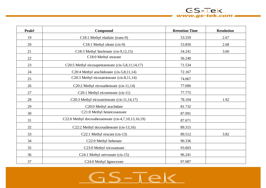# **Peak# Compound Retention Time Resolution** 19 C18:1 Methyl elaidate (trans-9) 53.559 3.559 2.67 20 C18:1 Methyl oleate (cis-9) 53.850 53.850 2.68 21 C18:3 Methyl linolenate (cis-9,12,15) 54.241 54.241 3.60

| 22 | C18:0 Methyl stearate                               | 56.240 |      |
|----|-----------------------------------------------------|--------|------|
| 23 | C20:5 Methyl eicosapentaenoate (cis-5,8,11,14,17)   | 71.534 |      |
| 24 | C20:4 Methyl arachidonate (cis-5,8,11,14)           | 72.167 |      |
| 25 | C20:3 Methyl eicosatrienoate (cis-8,11,14)          | 74.067 |      |
| 26 | C20:2 Methyl eicosadienoate (cis-11,14)             | 77.000 |      |
| 27 | C20:1 Methyl eicosenoate (cis-11)                   | 77.775 |      |
| 28 | C20:3 Methyl eicosatrienoate (cis-11,14,17)         | 78.104 | 1.92 |
| 29 | C20:0 Methyl arachidate                             | 81.732 |      |
| 30 | C21:0 Methyl heneicosanoate                         | 87.091 |      |
| 31 | C22:6 Methyl docosahexaenoate (cis-4,7,10,13,16,19) | 87.671 |      |
| 32 | C22:2 Methyl docosadienoate (cis-13,16)             | 89.315 |      |
| 33 | C22:1 Methyl erucate (cis-13)                       | 89.512 | 3.82 |
| 34 | C22:0 Methyl behenate                               | 90.336 |      |
| 35 | C23:0 Methyl tricosanoate                           | 93.603 |      |
| 36 | C24:1 Methyl nervonate (cis-15)                     | 96.241 |      |
| 37 | C24:0 Methyl lignocerate                            | 97.087 |      |

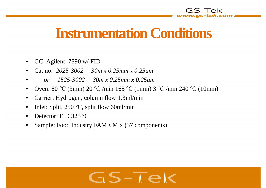### **Instrumentation Conditions**

- GC: Agilent 7890 w/ FID
- Cat no: *2025-3002 30m x 0.25mm x 0.25um*
- *or 1525-3002 30m x 0.25mm x 0.25um*
- Oven:  $80^{\circ}$ C (3min)  $20^{\circ}$ C /min 165 °C (1min) 3 °C /min 240 °C (10min)
- Carrier: Hydrogen, column flow 1.3ml/min
- Inlet: Split,  $250 \degree C$ , split flow 60ml/min
- Detector:  $FID$  325 °C
- Sample: Food Industry FAME Mix (37 components)

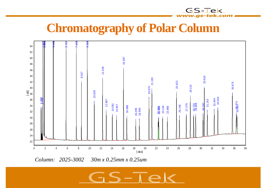### **Chromatography of Polar Column**

GS-Tek



*Column: 2025-3002 30m x 0.25mm x 0.25um*

# $5-\overline{16}$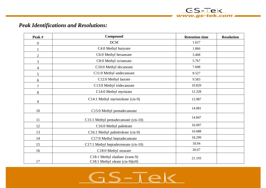#### *Peak Identifications and Resolutions:*

| Peak #           | Compound                                                             | <b>Retention time</b> | <b>Resolution</b> |
|------------------|----------------------------------------------------------------------|-----------------------|-------------------|
| $\boldsymbol{0}$ | <b>DCM</b>                                                           | 1.627                 |                   |
| 1                | C4:0 Methyl butyrate                                                 | 1.866                 |                   |
| $\overline{2}$   | C6:0 Methyl hexanoate                                                | 3.468                 |                   |
| 3                | C8:0 Methyl octanoate                                                | 5.767                 |                   |
| $\overline{4}$   | C10:0 Methyl decanoate                                               | 7.608                 |                   |
| 5                | C11:0 Methyl undecanoate                                             | 8.527                 |                   |
| 6                | C12:0 Methyl laurate                                                 | 9.583                 |                   |
| $\overline{7}$   | C13:0 Methyl tridecanoate                                            | 10.829                |                   |
| 8                | C14:0 Methyl myristate                                               | 12.328                |                   |
| 9                | C14:1 Methyl myristoleate (cis-9)                                    | 12.987                |                   |
| 10               | C15:0 Methyl pentadecanoate                                          | 14.081                |                   |
| 11               | C15:1 Methyl pentadecanoate (cis-10)                                 | 14.847                |                   |
| 12               | C16:0 Methyl palmitate                                               | 16.097                |                   |
| 13               | C16:1 Methyl palmitoleate (cis-9)                                    | 16.688                |                   |
| 14               | C17:0 Methyl heptadecanoate                                          | 18.299                |                   |
| 15               | C17:1 Methyl heptadecenoate (cis-10)                                 | 18.94                 |                   |
| 16               | C18:0 Methyl stearate                                                | 20.67                 |                   |
| 17               | C18:1 Methyl elaidate (trans-9)<br>C18:1 Methyl oleate $(cis-9)(n9)$ | 21.193                |                   |

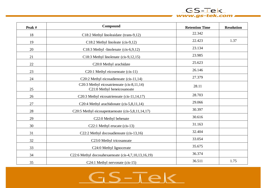

 $GS-TeV$ 

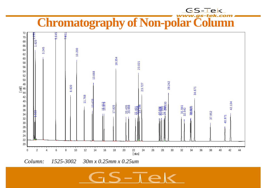# **Chromatography of Non-polar Column**

GS-Tek



 $\bar{\mathbf{S}} - \bar{\mathbf{A}} \in$ 

*Column: 1525-3002 30m x 0.25mm x 0.25um*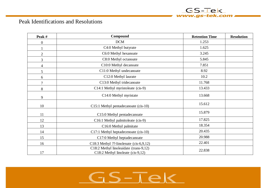

| Peak #           | Compound                                                                      | <b>Retention Time</b> | <b>Resolution</b> |
|------------------|-------------------------------------------------------------------------------|-----------------------|-------------------|
| $\boldsymbol{0}$ | <b>DCM</b>                                                                    | 1.253                 |                   |
|                  | C4:0 Methyl butyrate                                                          | 1.625                 |                   |
| $\mathbf{2}$     | C6:0 Methyl hexanoate                                                         | 3.245                 |                   |
| 3                | C8:0 Methyl octanoate                                                         | 5.845                 |                   |
| $\overline{4}$   | C10:0 Methyl decanoate                                                        | 7.851                 |                   |
| 5                | C11:0 Methyl undecanoate                                                      | 8.92                  |                   |
| 6                | C12:0 Methyl laurate                                                          | 10.2                  |                   |
| $\overline{7}$   | C13:0 Methyl tridecanoate                                                     | 11.768                |                   |
| 8                | C14:1 Methyl myristoleate (cis-9)                                             | 13.433                |                   |
| 9                | C14:0 Methyl myristate                                                        | 13.668                |                   |
| 10               | C15:1 Methyl pentadecanoate (cis-10)                                          | 15.612                |                   |
| 11               | C15:0 Methyl pentadecanoate                                                   | 15.879                |                   |
| 12               | C16:1 Methyl palmitoleate (cis-9)                                             | 17.825                |                   |
| 13               | C16:0 Methyl palmitate                                                        | 18.354                |                   |
| 14               | C17:1 Methyl heptadecenoate (cis-10)                                          | 20.435                |                   |
| 15               | C17:0 Methyl heptadecanoate                                                   | 20.988                |                   |
| 16               | C18:3 Methyl ??-linolenate $(cis-6,9,12)$                                     | 22.401                |                   |
| 17               | C18:2 Methyl linoleaidate (trans-9,12)<br>$C18:2$ Methyl linoleate (cis-9,12) | 22.838                |                   |

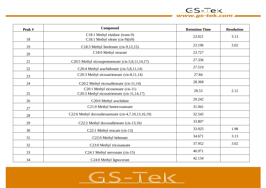#### **Peak # Compound Retention Time Resolution** 18 C18:1 Methyl elaidate (trans-9) C18:1 Methyl oleate (cis-9)(n9) 23.021 3.13 19 C18:3 Methyl linolenate (cis-9,12,15) 23.196 23.196 3.02 20 C18:0 Methyl stearate 23.727 21 C20:5 Methyl eicosapentaenoate (cis-5,8,11,14,17) 27.336 22 C20:4 Methyl arachidonate (cis-5,8,11,14) 27.519 23 C20:3 Methyl eicosatrienoate (cis-8,11,14) 27.84 24 C20:2 Methyl eicosadienoate (cis-11,14) 28.368 25 C20:1 Methyl eicosenoate (cis-11) C20:3 Methyl eicosatrienoate (cis-11,14,17) 28.53 2.12 26 C20:0 Methyl arachidate 29.242 27 C21:0 Methyl heneicosanoate 31.941 28 C22:6 Methyl docosahexaenoate (cis-4,7,10,13,16,19) 32.542  $29$  C22:2 Methyl docosadienoate (cis-13,16) 33.807 30 C22:1 Methyl erucate (cis-13) 33.925 1.98 31 C22:0 Methyl behenate 34.671 3.13 32 C23:0 Methyl tricosanoate 37.952 37.952 3.02  $33$  C24:1 Methyl nervonate (cis-15) 40.971 34 C24:0 Methyl lignocerate 42.134

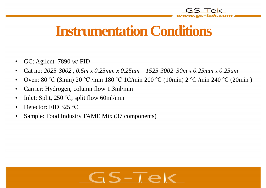

### **Instrumentation Conditions**

- GC: Agilent 7890 w/ FID
- Cat no: *2025-3002 , 0.5m x 0.25mm x 0.25um 1525-3002 30m x 0.25mm x 0.25um*
- Oven:  $80^{\circ}$ C (3min)  $20^{\circ}$ C /min 180 °C 1C/min 200 °C (10min)  $2^{\circ}$ C /min 240 °C (20min)
- Carrier: Hydrogen, column flow 1.3ml/min
- Inlet: Split,  $250 \degree C$ , split flow 60ml/min
- Detector:  $FID$  325 °C
- Sample: Food Industry FAME Mix (37 components)

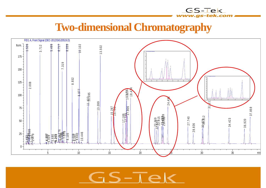### **Two-dimensional Chromatography**

GS-Tek

as-tek.com



 $S-\overline{I}\in$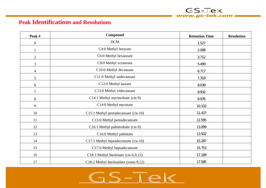#### **Peak Identifications and Resolutions**

| Peak #           | Compound                               | <b>Retention Time</b> | <b>Resolution</b> |
|------------------|----------------------------------------|-----------------------|-------------------|
| $\boldsymbol{0}$ | <b>DCM</b>                             | 1.527                 |                   |
|                  | C4:0 Methyl butyrate                   | 2.008                 |                   |
| $\mathbf{2}$     | C6:0 Methyl hexanoate                  | 3.712                 |                   |
| $\mathfrak{Z}$   | C8:0 Methyl octanoate                  | 5.499                 |                   |
| $\overline{4}$   | C10:0 Methyl decanoate                 | 6.717                 |                   |
| 5                | C11:0 Methyl undecanoate               | 7.319                 |                   |
| 6                | C12:0 Methyl laurate                   | 8.039                 |                   |
| $\overline{7}$   | C13:0 Methyl tridecanoate              | 8.932                 |                   |
| $8\,$            | C14:1 Methyl myristoleate (cis-9)      | 9.976                 |                   |
| 9                | C14:0 Methyl myristate                 | 10.102                |                   |
| 10               | C15:1 Methyl pentadecanoate (cis-10)   | 11.437                |                   |
| 11               | C15:0 Methyl pentadecanoate            | 11.595                |                   |
| 12               | C16:1 Methyl palmitoleate (cis-9)      | 13.099                |                   |
| 13               | C16:0 Methyl palmitate                 | 13.502                |                   |
| 14               | C17:1 Methyl heptadecenoate (cis-10)   | 15.287                |                   |
| 15               | C17:0 Methyl heptadecanoate            | 15.753                |                   |
| 16               | C18:3 Methyl linolenate (cis-6,9,12)   | 17.189                |                   |
| 17               | C18:2 Methyl linoleaidate (trans-9,12) | 17.585                |                   |

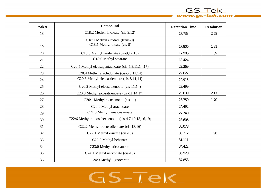

 $GS-TeV$